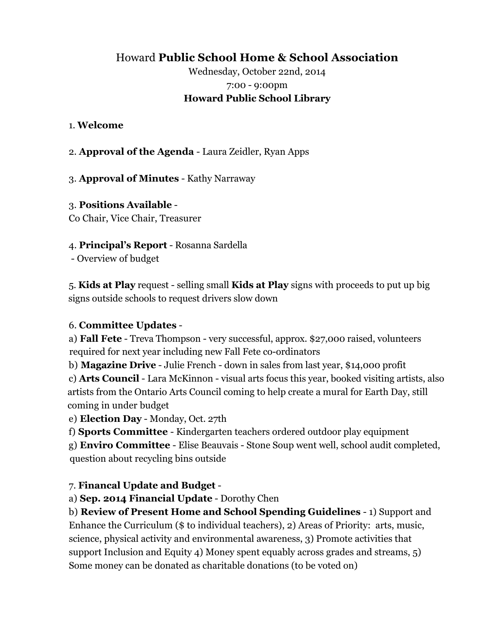## Howard **Public School Home & School Association**

## Wednesday, October 22nd, 2014 7:00 - 9:00pm **Howard Public School Library**

#### 1. **Welcome**

2. **Approval of the Agenda** - Laura Zeidler, Ryan Apps

3. **Approval of Minutes** - Kathy Narraway

# 3. **Positions Available** -

Co Chair, Vice Chair, Treasurer

### 4. **Principal's Report** - Rosanna Sardella

- Overview of budget

5. **Kids at Play** request - selling small **Kids at Play** signs with proceeds to put up big signs outside schools to request drivers slow down

### 6. **Committee Updates** -

a) **Fall Fete** - Treva Thompson - very successful, approx. \$27,000 raised, volunteers required for next year including new Fall Fete co-ordinators

b) **Magazine Drive** - Julie French - down in sales from last year, \$14,000 profit

c) **Arts Council** - Lara McKinnon - visual arts focus this year, booked visiting artists, also artists from the Ontario Arts Council coming to help create a mural for Earth Day, still coming in under budget

e) **Election Day** - Monday, Oct. 27th

f) **Sports Committee** - Kindergarten teachers ordered outdoor play equipment

g) **Enviro Committee** - Elise Beauvais - Stone Soup went well, school audit completed, question about recycling bins outside

### 7. **Financal Update and Budget** -

a) **Sep. 2014 Financial Update** - Dorothy Chen

b) **Review of Present Home and School Spending Guidelines** - 1) Support and Enhance the Curriculum (\$ to individual teachers), 2) Areas of Priority: arts, music,

science, physical activity and environmental awareness, 3) Promote activities that support Inclusion and Equity 4) Money spent equably across grades and streams, 5) Some money can be donated as charitable donations (to be voted on)